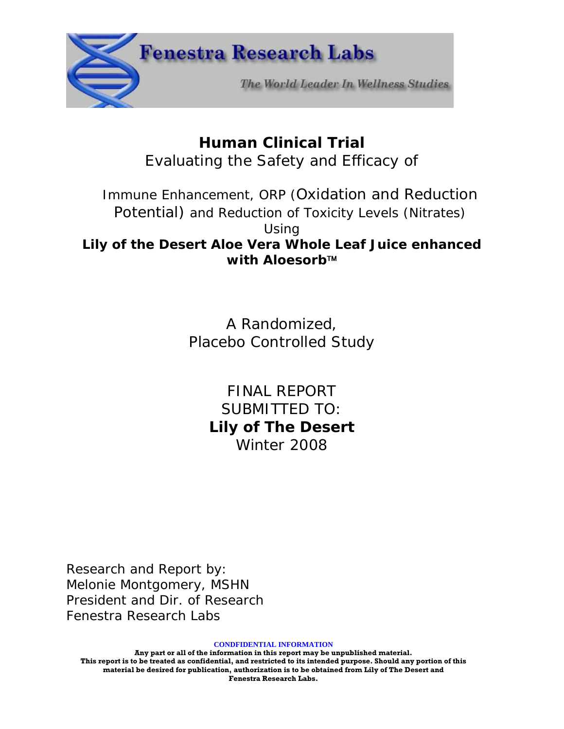

# **Human Clinical Trial**  Evaluating the Safety and Efficacy of

Immune Enhancement, ORP (Oxidation and Reduction Potential) and Reduction of Toxicity Levels (Nitrates) Using **Lily of the Desert Aloe Vera Whole Leaf Juice enhanced**  with Aloesorb™

> A Randomized, Placebo Controlled Study

> > FINAL REPORT SUBMITTED TO: **Lily of The Desert**  Winter 2008

Research and Report by: Melonie Montgomery, MSHN President and Dir. of Research Fenestra Research Labs

**CONDFIDENTIAL INFORMATION** 

**Any part or all of the information in this report may be unpublished material. This report is to be treated as confidential, and restricted to its intended purpose. Should any portion of this material be desired for publication, authorization is to be obtained from Lily of The Desert and Fenestra Research Labs.**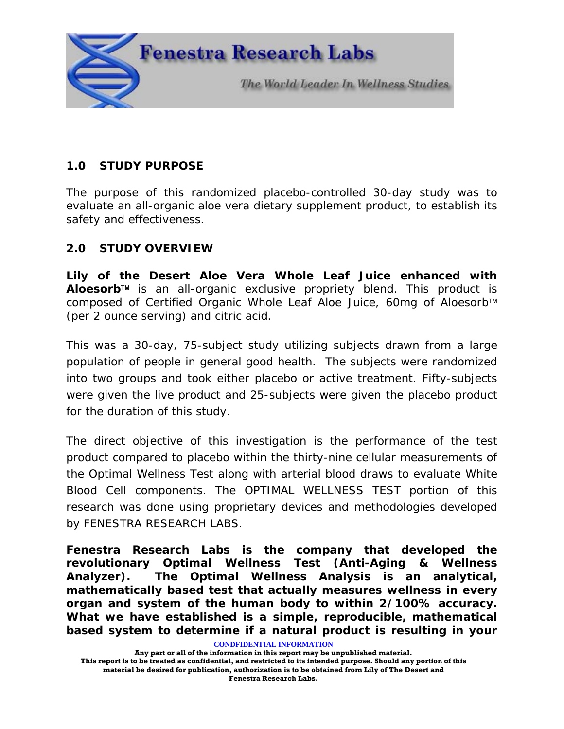

## **1.0 STUDY PURPOSE**

The purpose of this randomized placebo-controlled 30-day study was to evaluate an all-organic aloe vera dietary supplement product, to establish its safety and effectiveness.

## **2.0 STUDY OVERVIEW**

**Lily of the Desert Aloe Vera Whole Leaf Juice enhanced with**  Aloesorb<sup>™</sup> is an all-organic exclusive propriety blend. This product is composed of Certified Organic Whole Leaf Aloe Juice, 60mg of Aloesorb (per 2 ounce serving) and citric acid.

This was a 30-day, 75-subject study utilizing subjects drawn from a large population of people in general good health. The subjects were randomized into two groups and took either placebo or active treatment. Fifty-subjects were given the live product and 25-subjects were given the placebo product for the duration of this study.

The direct objective of this investigation is the performance of the test product compared to placebo within the thirty-nine cellular measurements of the *Optimal Wellness Test* along with arterial blood draws to evaluate White Blood Cell components. The *OPTIMAL WELLNESS TEST* portion of this research was done using proprietary devices and methodologies developed by FENESTRA RESEARCH LABS.

**Fenestra Research Labs is the company that developed the revolutionary** *Optimal Wellness Test* **(Anti-Aging & Wellness Analyzer***). The Optimal Wellness Analysis* **is an** *analytical,* **mathematically based test that actually measures** *wellness* **in every organ and system of the human body to within 2/100% accuracy. What we have established is a simple, reproducible, mathematical based system to determine if a natural product is resulting in your**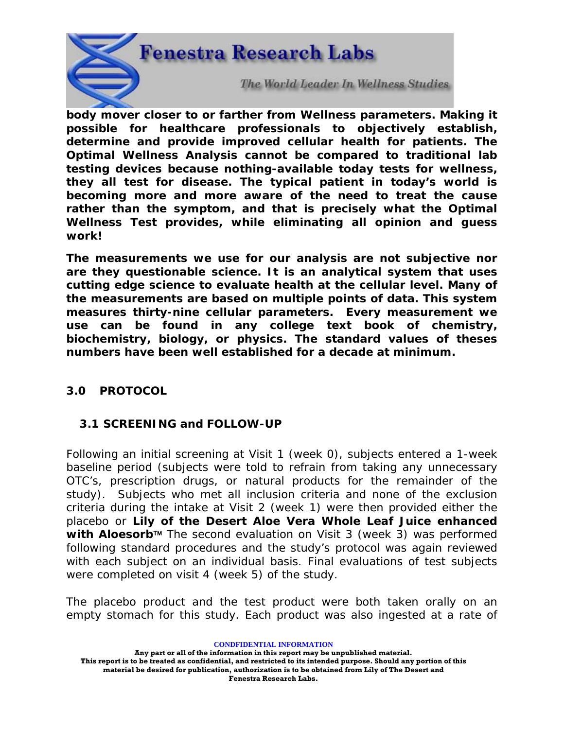

**body mover closer to or farther from** *Wellness parameters***. Making it possible for healthcare professionals to** *objectively* **establish, determine and provide improved cellular health for patients. The** *Optimal Wellness Analysis* **cannot be compared to traditional lab testing devices because nothing-available today tests for wellness, they all test for disease. The typical patient in today's world is becoming more and more aware of the need to treat the cause rather than the symptom, and that is precisely what the** *Optimal Wellness Test* **provides, while eliminating all opinion and guess work!** 

**The measurements we use for our analysis are not subjective nor are they questionable science. It is an analytical system that uses cutting edge science to evaluate health at the cellular level. Many of the measurements are based on multiple points of data. This system measures thirty-nine cellular parameters. Every measurement we use can be found in any college text book of chemistry, biochemistry, biology, or physics. The standard values of theses numbers have been well established for a decade at minimum.** 

## **3.0 PROTOCOL**

#### **3.1 SCREENING and FOLLOW-UP**

Following an initial screening at Visit 1 (week 0), subjects entered a 1-week baseline period (subjects were told to refrain from taking any unnecessary OTC's, prescription drugs, or natural products for the remainder of the study). Subjects who met all inclusion criteria and none of the exclusion criteria during the intake at Visit 2 (week 1) were then provided either the placebo or **Lily of the Desert Aloe Vera Whole Leaf Juice enhanced**  with Aloesorb<sup>™</sup> The second evaluation on Visit 3 (week 3) was performed following standard procedures and the study's protocol was again reviewed with each subject on an individual basis. Final evaluations of test subjects were completed on visit 4 (week 5) of the study.

The placebo product and the test product were both taken orally on an empty stomach for this study. Each product was also ingested at a rate of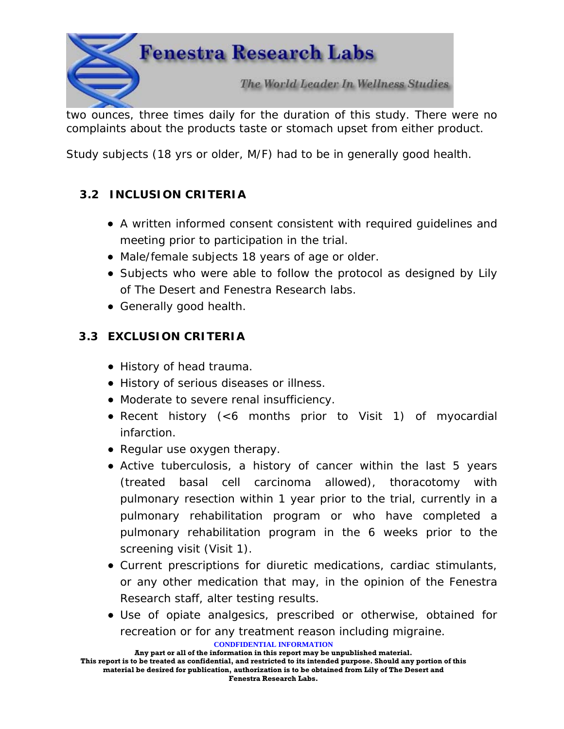

two ounces, three times daily for the duration of this study. There were no complaints about the products taste or stomach upset from either product.

Study subjects (18 yrs or older, M/F) had to be in generally good health.

# **3.2 INCLUSION CRITERIA**

- A written informed consent consistent with required guidelines and meeting prior to participation in the trial.
- Male/female subjects 18 years of age or older.
- Subjects who were able to follow the protocol as designed by Lily of The Desert and Fenestra Research labs.
- Generally good health.

# **3.3 EXCLUSION CRITERIA**

- History of head trauma.
- History of serious diseases or illness.
- Moderate to severe renal insufficiency.
- Recent history (<6 months prior to Visit 1) of myocardial infarction.
- Regular use oxygen therapy.
- Active tuberculosis, a history of cancer within the last 5 years (treated basal cell carcinoma allowed), thoracotomy with pulmonary resection within 1 year prior to the trial, currently in a pulmonary rehabilitation program or who have completed a pulmonary rehabilitation program in the 6 weeks prior to the screening visit (Visit 1).
- Current prescriptions for diuretic medications, cardiac stimulants, or any other medication that may, in the opinion of the Fenestra Research staff, alter testing results.
- **CONDFIDENTIAL INFORMATION**  Use of opiate analgesics, prescribed or otherwise, obtained for recreation or for any treatment reason including migraine.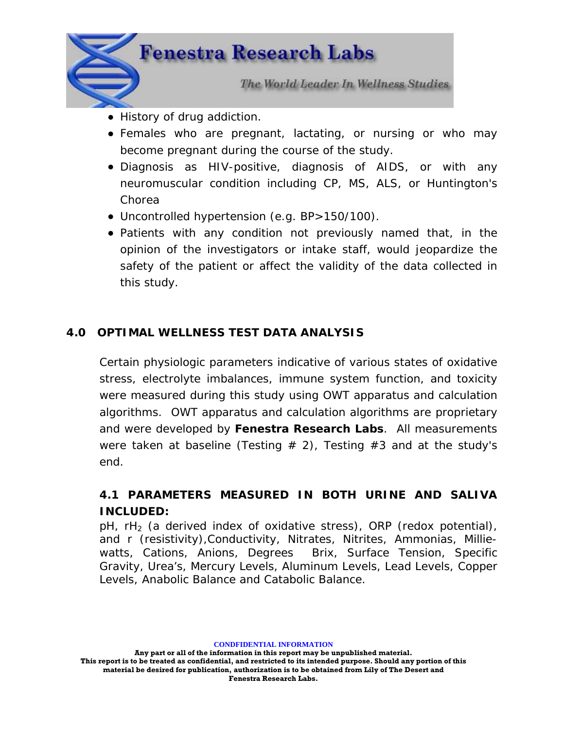

- History of drug addiction.
- Females who are pregnant, lactating, or nursing or who may become pregnant during the course of the study.
- Diagnosis as HIV-positive, diagnosis of AIDS, or with any neuromuscular condition including CP, MS, ALS, or Huntington's Chorea
- Uncontrolled hypertension (*e.g.* BP>150/100).
- Patients with any condition not previously named that, in the opinion of the investigators or intake staff, would jeopardize the safety of the patient or affect the validity of the data collected in this study.

## **4.0** *OPTIMAL WELLNESS TEST* **DATA ANALYSIS**

Certain physiologic parameters indicative of various states of oxidative stress, electrolyte imbalances, immune system function, and toxicity were measured during this study using OWT apparatus and calculation algorithms. OWT apparatus and calculation algorithms are proprietary and were developed by **Fenestra Research Labs**. All measurements were taken at baseline (Testing  $# 2$ ), Testing  $#3$  and at the study's end.

## **4.1 PARAMETERS MEASURED IN BOTH URINE AND SALIVA INCLUDED:**

 $pH_1$ , r $H_2$  (a derived index of oxidative stress), ORP (redox potential), and r (resistivity),Conductivity, Nitrates, Nitrites, Ammonias, Milliewatts, Cations, Anions, Degrees Brix, Surface Tension, Specific Gravity, Urea's, Mercury Levels, Aluminum Levels, Lead Levels, Copper Levels, Anabolic Balance and Catabolic Balance.

**CONDFIDENTIAL INFORMATION**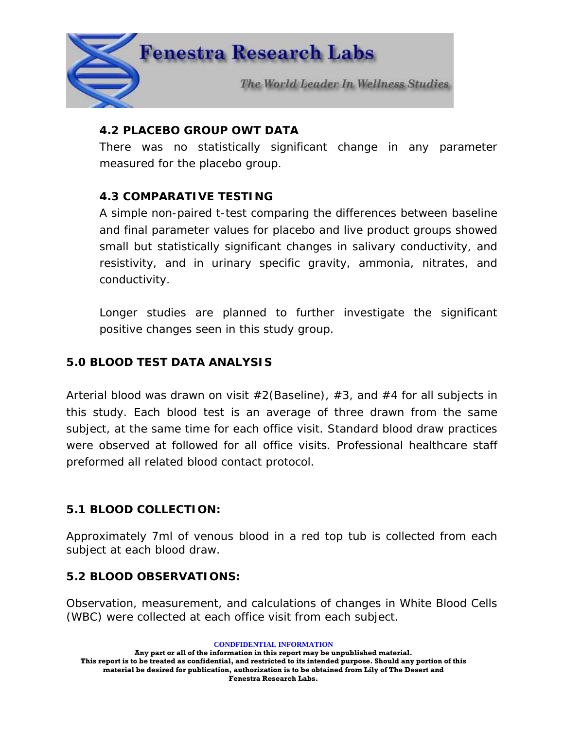

## **4.2 PLACEBO GROUP OWT DATA**

There was no statistically significant change in any parameter measured for the placebo group.

## **4.3 COMPARATIVE TESTING**

A simple non-paired t-test comparing the differences between baseline and final parameter values for placebo and live product groups showed small but statistically significant changes in salivary conductivity, and resistivity, and in urinary specific gravity, ammonia, nitrates, and conductivity.

Longer studies are planned to further investigate the significant positive changes seen in this study group.

### **5.0 BLOOD TEST DATA ANALYSIS**

Arterial blood was drawn on visit  $#2(Baseline)$ ,  $#3$ , and  $#4$  for all subjects in this study. Each blood test is an average of three drawn from the same subject, at the same time for each office visit. Standard blood draw practices were observed at followed for all office visits. Professional healthcare staff preformed all related blood contact protocol.

#### **5.1 BLOOD COLLECTION:**

Approximately 7ml of venous blood in a red top tub is collected from each subject at each blood draw.

#### **5.2 BLOOD OBSERVATIONS:**

Observation, measurement, and calculations of changes in White Blood Cells (WBC) were collected at each office visit from each subject.